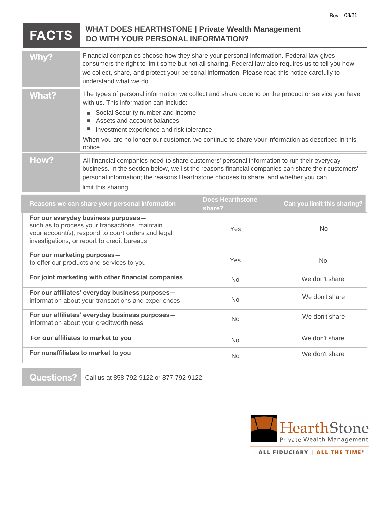## **FACTS Why? What? B** Social Security number and income ■ Assets and account balances **Investment experience and risk tolerance How?** Reasons we can share your personal information **Example 2009** Scheminstone **Can you limit this sharing?**<br>
share? **For our everyday business purposes** such as to process your transactions, maintain your account(s), respond to court orders and legal investigations, or report to credit bureaus **For our marketing purposes** to offer our products and services to you **For joint marketing with other financial companies For our affiliates' everyday business purposes** information about your transactions and experiences **For our affiliates' everyday business purposes** information about your creditworthiness **For nonaffiliates to market to you** Rev. 03/21<br>
WHAT DOES HEARTHSTONE | Private Wealth Management<br>
DO WITH YOUR PERSONAL INFORMATION?<br>
Financial companies choose how they share your personal information. Federal law gives<br>
consumers the right to limit some b The types of personal information we collect and share depend on the product or service you have with us. This information can include: When you are no longer our customer, we continue to share your information as described in this notice. **Does Hearthstone Share The Share of Private Wealth Management**<br> **DO WITH YOUR PERSONAL INFORMATION?**<br> **Share the share of the start of the start of the start of all sharing.** Federal law also require:<br> **the consumers the right to limit s** Yes Yes No No<br>No  $\frac{N_0}{N_0}$ How?<br>
Misimancial companies read to share customers' personal information to run their everyday<br>
personal information, the reasons Heathstone chooses to share, and whether you can<br>
limit this sharing.<br>
Reasons we can share

**Questions?**



ALL FIDUCIARY | ALL THE TIME<sup>®</sup>